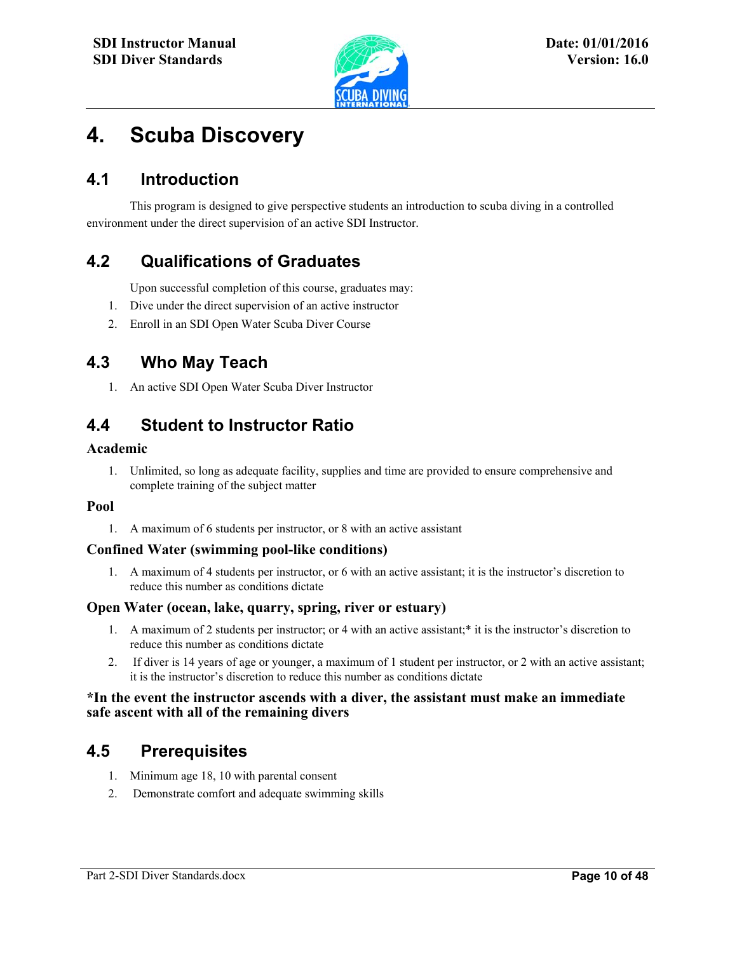

# **4. Scuba Discovery**

## **4.1 Introduction**

This program is designed to give perspective students an introduction to scuba diving in a controlled environment under the direct supervision of an active SDI Instructor.

l

### **4.2 Qualifications of Graduates**

Upon successful completion of this course, graduates may:

- 1. Dive under the direct supervision of an active instructor
- 2. Enroll in an SDI Open Water Scuba Diver Course

### **4.3 Who May Teach**

1. An active SDI Open Water Scuba Diver Instructor

# **4.4 Student to Instructor Ratio**

#### **Academic**

1. Unlimited, so long as adequate facility, supplies and time are provided to ensure comprehensive and complete training of the subject matter

#### **Pool**

1. A maximum of 6 students per instructor, or 8 with an active assistant

#### **Confined Water (swimming pool-like conditions)**

1. A maximum of 4 students per instructor, or 6 with an active assistant; it is the instructor's discretion to reduce this number as conditions dictate

#### **Open Water (ocean, lake, quarry, spring, river or estuary)**

- 1. A maximum of 2 students per instructor; or 4 with an active assistant;\* it is the instructor's discretion to reduce this number as conditions dictate
- 2. If diver is 14 years of age or younger, a maximum of 1 student per instructor, or 2 with an active assistant; it is the instructor's discretion to reduce this number as conditions dictate

#### **\*In the event the instructor ascends with a diver, the assistant must make an immediate safe ascent with all of the remaining divers**

### **4.5 Prerequisites**

- 1. Minimum age 18, 10 with parental consent
- 2. Demonstrate comfort and adequate swimming skills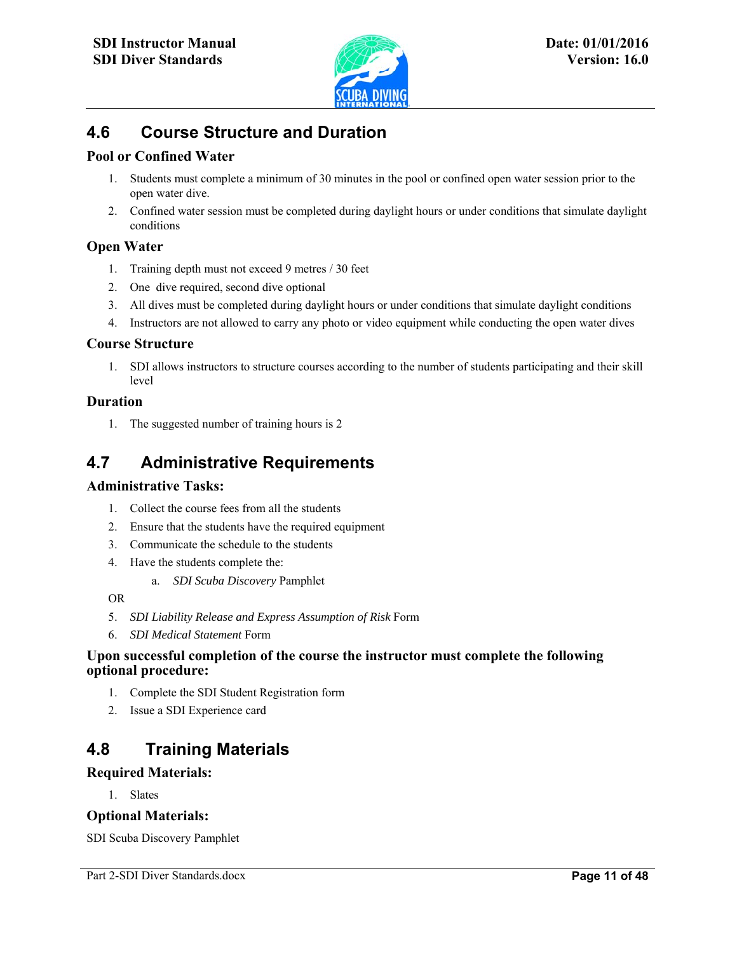

l

# **4.6 Course Structure and Duration**

#### **Pool or Confined Water**

- 1. Students must complete a minimum of 30 minutes in the pool or confined open water session prior to the open water dive.
- 2. Confined water session must be completed during daylight hours or under conditions that simulate daylight conditions

#### **Open Water**

- 1. Training depth must not exceed 9 metres / 30 feet
- 2. One dive required, second dive optional
- 3. All dives must be completed during daylight hours or under conditions that simulate daylight conditions
- 4. Instructors are not allowed to carry any photo or video equipment while conducting the open water dives

#### **Course Structure**

1. SDI allows instructors to structure courses according to the number of students participating and their skill level

#### **Duration**

1. The suggested number of training hours is 2

### **4.7 Administrative Requirements**

#### **Administrative Tasks:**

- 1. Collect the course fees from all the students
- 2. Ensure that the students have the required equipment
- 3. Communicate the schedule to the students
- 4. Have the students complete the:
	- a. *SDI Scuba Discovery* Pamphlet

#### OR

- 5. *SDI Liability Release and Express Assumption of Risk* Form
- 6. *SDI Medical Statement* Form

#### **Upon successful completion of the course the instructor must complete the following optional procedure:**

- 1. Complete the SDI Student Registration form
- 2. Issue a SDI Experience card

### **4.8 Training Materials**

#### **Required Materials:**

1. Slates

#### **Optional Materials:**

SDI Scuba Discovery Pamphlet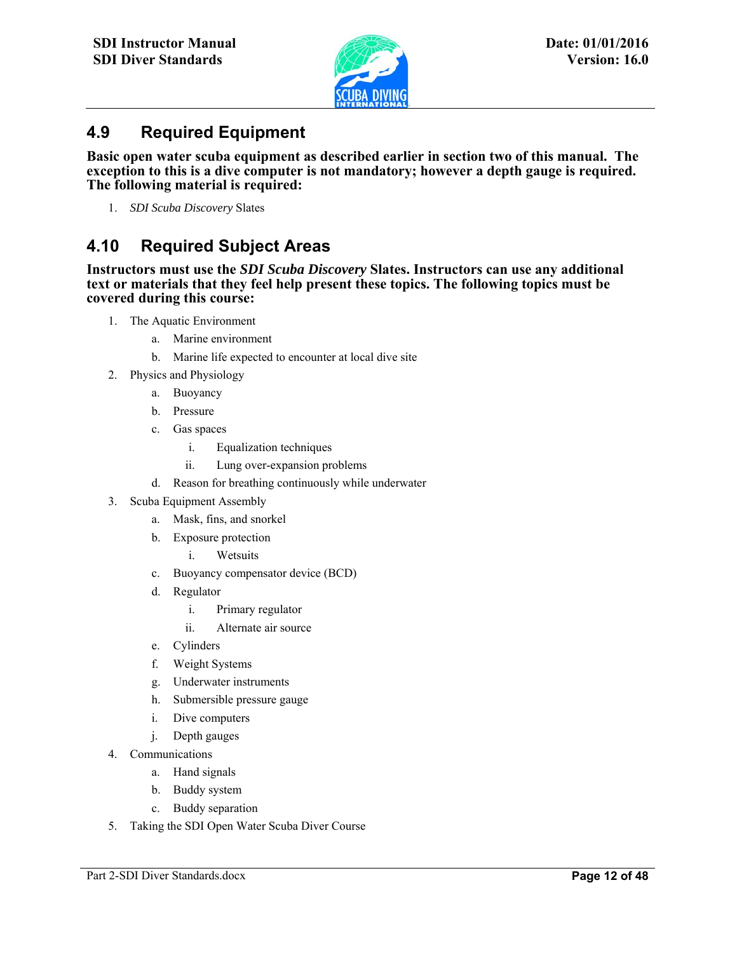

## **4.9 Required Equipment**

**Basic open water scuba equipment as described earlier in section two of this manual. The exception to this is a dive computer is not mandatory; however a depth gauge is required. The following material is required:** 

l

1. *SDI Scuba Discovery* Slates

# **4.10 Required Subject Areas**

**Instructors must use the** *SDI Scuba Discovery* **Slates. Instructors can use any additional text or materials that they feel help present these topics. The following topics must be covered during this course:** 

- 1. The Aquatic Environment
	- a. Marine environment
	- b. Marine life expected to encounter at local dive site
- 2. Physics and Physiology
	- a. Buoyancy
	- b. Pressure
	- c. Gas spaces
		- i. Equalization techniques
		- ii. Lung over-expansion problems
	- d. Reason for breathing continuously while underwater
- 3. Scuba Equipment Assembly
	- a. Mask, fins, and snorkel
	- b. Exposure protection
		- i. Wetsuits
	- c. Buoyancy compensator device (BCD)
	- d. Regulator
		- i. Primary regulator
		- ii. Alternate air source
	- e. Cylinders
	- f. Weight Systems
	- g. Underwater instruments
	- h. Submersible pressure gauge
	- i. Dive computers
	- j. Depth gauges
- 4. Communications
	- a. Hand signals
	- b. Buddy system
	- c. Buddy separation
- 5. Taking the SDI Open Water Scuba Diver Course